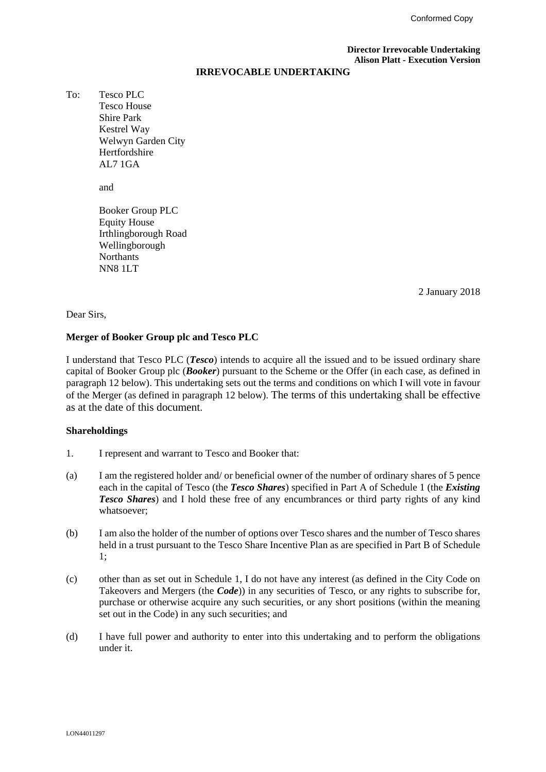#### **Director Irrevocable Undertaking Alison Platt - Execution Version**

#### **IRREVOCABLE UNDERTAKING**

To: Tesco PLC Tesco House Shire Park Kestrel Way Welwyn Garden City Hertfordshire AL7 1GA

and

Booker Group PLC Equity House Irthlingborough Road Wellingborough **Northants** NN8 1LT

2 January 2018

#### Dear Sirs,

#### **Merger of Booker Group plc and Tesco PLC**

I understand that Tesco PLC (*Tesco*) intends to acquire all the issued and to be issued ordinary share capital of Booker Group plc (*Booker*) pursuant to the Scheme or the Offer (in each case, as defined in paragraph 12 below). This undertaking sets out the terms and conditions on which I will vote in favour of the Merger (as defined in paragraph 12 below). The terms of this undertaking shall be effective as at the date of this document.

### **Shareholdings**

- 1. I represent and warrant to Tesco and Booker that:
- (a) I am the registered holder and/ or beneficial owner of the number of ordinary shares of 5 pence each in the capital of Tesco (the *Tesco Shares*) specified in Part A of Schedule 1 (the *Existing Tesco Shares*) and I hold these free of any encumbrances or third party rights of any kind whatsoever;
- (b) I am also the holder of the number of options over Tesco shares and the number of Tesco shares held in a trust pursuant to the Tesco Share Incentive Plan as are specified in Part B of Schedule 1;
- (c) other than as set out in Schedule 1, I do not have any interest (as defined in the City Code on Takeovers and Mergers (the *Code*)) in any securities of Tesco, or any rights to subscribe for, purchase or otherwise acquire any such securities, or any short positions (within the meaning set out in the Code) in any such securities; and
- (d) I have full power and authority to enter into this undertaking and to perform the obligations under it.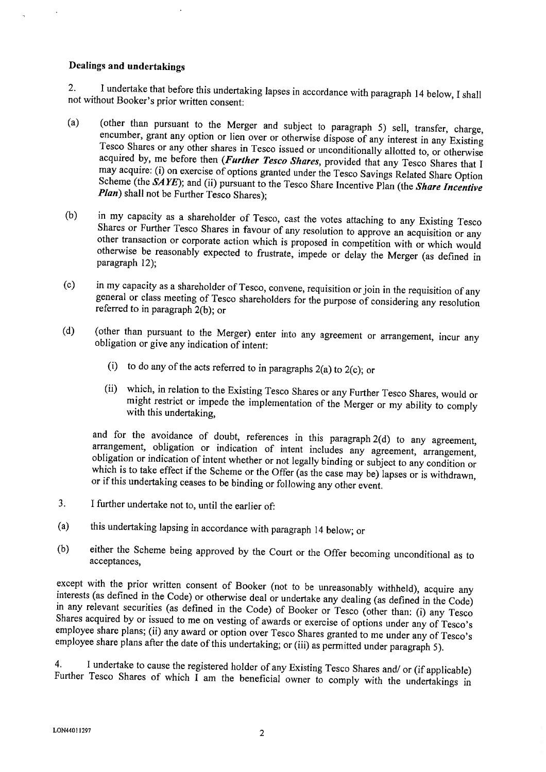### Dealings and undertakings

I undertake that before this undertaking lapses in accordance with paragraph 14 below, I shall  $\overline{2}$ . not without Booker's prior written consent:

- (other than pursuant to the Merger and subject to paragraph 5) sell, transfer, charge,  $(a)$ encumber, grant any option or lien over or otherwise dispose of any interest in any Existing Tesco Shares or any other shares in Tesco issued or unconditionally allotted to, or otherwise acquired by, me before then (Further Tesco Shares, provided that any Tesco Shares that I may acquire: (i) on exercise of options granted under the Tesco Savings Related Share Option Scheme (the  $\overrightarrow{SAVE}$ ); and (ii) pursuant to the Tesco Share Incentive Plan (the Share Incentive Plan) shall not be Further Tesco Shares);
- in my capacity as a shareholder of Tesco, cast the votes attaching to any Existing Tesco  $(b)$ Shares or Further Tesco Shares in favour of any resolution to approve an acquisition or any other transaction or corporate action which is proposed in competition with or which would otherwise be reasonably expected to frustrate, impede or delay the Merger (as defined in paragraph 12);
- in my capacity as a shareholder of Tesco, convene, requisition or join in the requisition of any  $(c)$ general or class meeting of Tesco shareholders for the purpose of considering any resolution referred to in paragraph 2(b); or
- (other than pursuant to the Merger) enter into any agreement or arrangement, incur any  $(d)$ obligation or give any indication of intent:
	- (i) to do any of the acts referred to in paragraphs  $2(a)$  to  $2(c)$ ; or
	- which, in relation to the Existing Tesco Shares or any Further Tesco Shares, would or  $(ii)$ might restrict or impede the implementation of the Merger or my ability to comply with this undertaking.

and for the avoidance of doubt, references in this paragraph 2(d) to any agreement, arrangement, obligation or indication of intent includes any agreement, arrangement, obligation or indication of intent whether or not legally binding or subject to any condition or which is to take effect if the Scheme or the Offer (as the case may be) lapses or is withdrawn, or if this undertaking ceases to be binding or following any other event.

- $3.$ I further undertake not to, until the earlier of:
- this undertaking lapsing in accordance with paragraph 14 below; or  $(a)$
- either the Scheme being approved by the Court or the Offer becoming unconditional as to  $(b)$ acceptances,

except with the prior written consent of Booker (not to be unreasonably withheld), acquire any interests (as defined in the Code) or otherwise deal or undertake any dealing (as defined in the Code) in any relevant securities (as defined in the Code) of Booker or Tesco (other than: (i) any Tesco Shares acquired by or issued to me on vesting of awards or exercise of options under any of Tesco's employee share plans; (ii) any award or option over Tesco Shares granted to me under any of Tesco's employee share plans after the date of this undertaking; or (iii) as permitted under paragraph 5).

I undertake to cause the registered holder of any Existing Tesco Shares and/ or (if applicable) 4. Further Tesco Shares of which  $\tilde{l}$  am the beneficial owner to comply with the undertakings in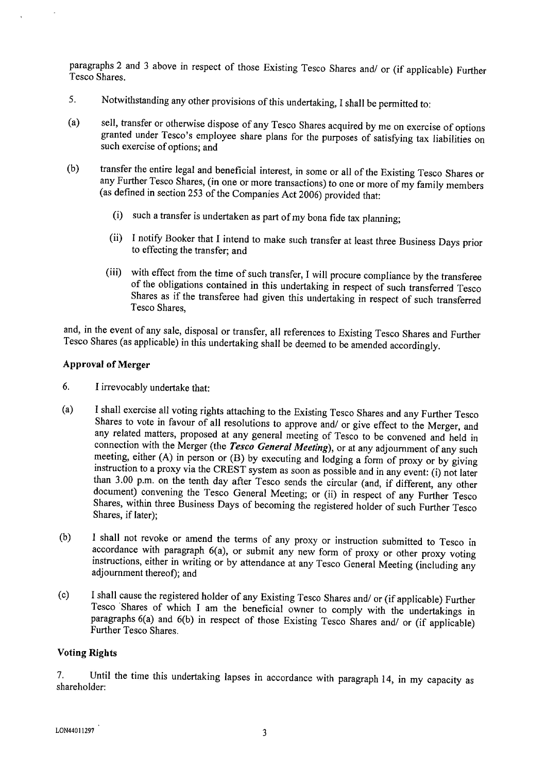paragraphs 2 and 3 above in respect of those Existing Tesco Shares and/ or (if applicable) Further Tesco Shares.

- $\mathcal{F}_{\mathcal{L}}$ Notwithstanding any other provisions of this undertaking, I shall be permitted to:
- sell, transfer or otherwise dispose of any Tesco Shares acquired by me on exercise of options  $(a)$ granted under Tesco's employee share plans for the purposes of satisfying tax liabilities on such exercise of options; and
- transfer the entire legal and beneficial interest, in some or all of the Existing Tesco Shares or  $(b)$ any Further Tesco Shares, (in one or more transactions) to one or more of my family members (as defined in section 253 of the Companies Act 2006) provided that:
	- (i) such a transfer is undertaken as part of my bona fide tax planning;
	- (ii) I notify Booker that I intend to make such transfer at least three Business Days prior to effecting the transfer; and
	- (iii) with effect from the time of such transfer, I will procure compliance by the transferee of the obligations contained in this undertaking in respect of such transferred Tesco Shares as if the transferee had given this undertaking in respect of such transferred Tesco Shares.

and, in the event of any sale, disposal or transfer, all references to Existing Tesco Shares and Further Tesco Shares (as applicable) in this undertaking shall be deemed to be amended accordingly.

## **Approval of Merger**

- 6. I irrevocably undertake that:
- I shall exercise all voting rights attaching to the Existing Tesco Shares and any Further Tesco  $(a)$ Shares to vote in favour of all resolutions to approve and/ or give effect to the Merger, and any related matters, proposed at any general meeting of Tesco to be convened and held in connection with the Merger (the Tesco General Meeting), or at any adjournment of any such meeting, either (A) in person or (B) by executing and lodging a form of proxy or by giving instruction to a proxy via the CREST system as soon as possible and in any event: (i) not later than 3.00 p.m. on the tenth day after Tesco sends the circular (and, if different, any other document) convening the Tesco General Meeting; or (ii) in respect of any Further Tesco Shares, within three Business Days of becoming the registered holder of such Further Tesco Shares, if later);
- I shall not revoke or amend the terms of any proxy or instruction submitted to Tesco in  $(b)$ accordance with paragraph  $6(a)$ , or submit any new form of proxy or other proxy voting instructions, either in writing or by attendance at any Tesco General Meeting (including any adjournment thereof); and
- I shall cause the registered holder of any Existing Tesco Shares and/ or (if applicable) Further  $(c)$ Tesco Shares of which I am the beneficial owner to comply with the undertakings in paragraphs 6(a) and 6(b) in respect of those Existing Tesco Shares and/ or (if applicable) **Further Tesco Shares**

### **Voting Rights**

Until the time this undertaking lapses in accordance with paragraph 14, in my capacity as  $7<sub>1</sub>$ shareholder: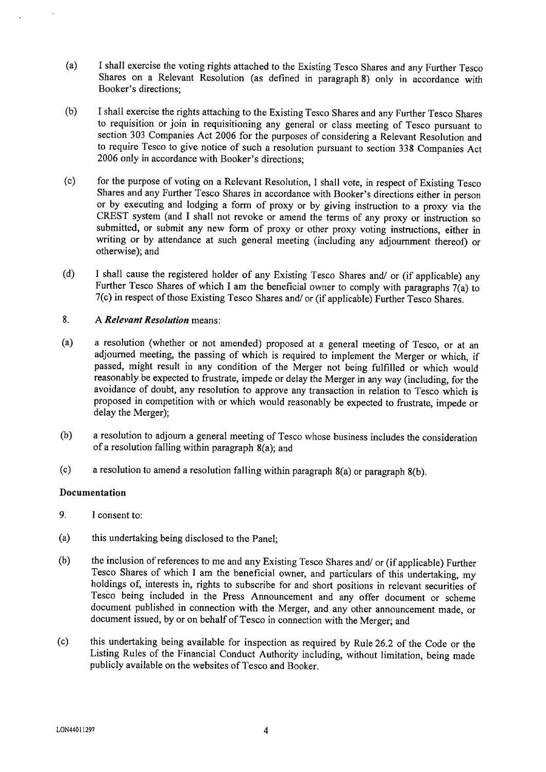- $(a)$ I shall exercise the voting rights attached to the Existing Tesco Shares and any Further Tesco Shares on a Relevant Resolution (as defined in paragraph 8) only in accordance with Booker's directions:
- $(b)$ I shall exercise the rights attaching to the Existing Tesco Shares and any Further Tesco Shares to requisition or join in requisitioning any general or class meeting of Tesco pursuant to section 303 Companies Act 2006 for the purposes of considering a Relevant Resolution and to require Tesco to give notice of such a resolution pursuant to section 338 Companies Act 2006 only in accordance with Booker's directions:
- for the purpose of voting on a Relevant Resolution, I shall vote, in respect of Existing Tesco  $(c)$ Shares and any Further Tesco Shares in accordance with Booker's directions either in person or by executing and lodging a form of proxy or by giving instruction to a proxy via the CREST system (and I shall not revoke or amend the terms of any proxy or instruction so submitted, or submit any new form of proxy or other proxy voting instructions, either in writing or by attendance at such general meeting (including any adjournment thereof) or otherwise); and
- I shall cause the registered holder of any Existing Tesco Shares and/ or (if applicable) any  $(d)$ Further Tesco Shares of which I am the beneficial owner to comply with paragraphs  $7(a)$  to 7(c) in respect of those Existing Tesco Shares and/ or (if applicable) Further Tesco Shares.

#### 8. A Relevant Resolution means:

- a resolution (whether or not amended) proposed at a general meeting of Tesco, or at an  $(a)$ adjourned meeting, the passing of which is required to implement the Merger or which, if passed, might result in any condition of the Merger not being fulfilled or which would reasonably be expected to frustrate, impede or delay the Merger in any way (including, for the avoidance of doubt, any resolution to approve any transaction in relation to Tesco which is proposed in competition with or which would reasonably be expected to frustrate, impede or delay the Merger);
- a resolution to adjourn a general meeting of Tesco whose business includes the consideration  $(b)$ of a resolution falling within paragraph  $8(a)$ ; and
- $(c)$ a resolution to amend a resolution falling within paragraph  $8(a)$  or paragraph  $8(b)$ .

### Documentation

- 9. I consent to:
- $(a)$ this undertaking being disclosed to the Panel:
- $(b)$ the inclusion of references to me and any Existing Tesco Shares and/ or (if applicable) Further Tesco Shares of which I am the beneficial owner, and particulars of this undertaking, my holdings of, interests in, rights to subscribe for and short positions in relevant securities of Tesco being included in the Press Announcement and any offer document or scheme document published in connection with the Merger, and any other announcement made, or document issued, by or on behalf of Tesco in connection with the Merger; and
- $(c)$ this undertaking being available for inspection as required by Rule 26.2 of the Code or the Listing Rules of the Financial Conduct Authority including, without limitation, being made publicly available on the websites of Tesco and Booker.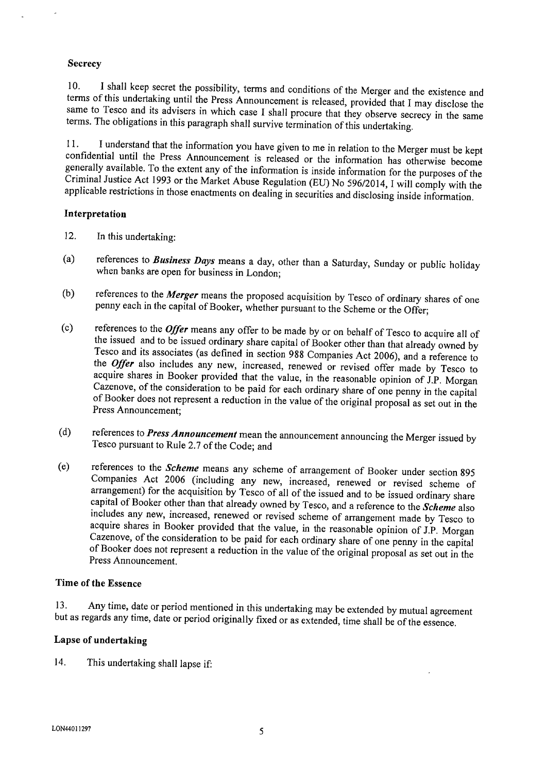### Secrecy

I shall keep secret the possibility, terms and conditions of the Merger and the existence and  $10.$ terms of this undertaking until the Press Announcement is released, provided that I may disclose the same to Tesco and its advisers in which case I shall procure that they observe secrecy in the same terms. The obligations in this paragraph shall survive termination of this undertaking.

I understand that the information you have given to me in relation to the Merger must be kept  $11.$ confidential until the Press Announcement is released or the information has otherwise become generally available. To the extent any of the information is inside information for the purposes of the Criminal Justice Act 1993 or the Market Abuse Regulation (EU) No 596/2014, I will comply with the applicable restrictions in those enactments on dealing in securities and disclosing inside information.

### Interpretation

- $12.$ In this undertaking:
- references to *Business Days* means a day, other than a Saturday, Sunday or public holiday  $(a)$ when banks are open for business in London;
- references to the Merger means the proposed acquisition by Tesco of ordinary shares of one  $(b)$ penny each in the capital of Booker, whether pursuant to the Scheme or the Offer;
- references to the Offer means any offer to be made by or on behalf of Tesco to acquire all of  $(c)$ the issued and to be issued ordinary share capital of Booker other than that already owned by Tesco and its associates (as defined in section 988 Companies Act 2006), and a reference to the Offer also includes any new, increased, renewed or revised offer made by Tesco to acquire shares in Booker provided that the value, in the reasonable opinion of J.P. Morgan Cazenove, of the consideration to be paid for each ordinary share of one penny in the capital of Booker does not represent a reduction in the value of the original proposal as set out in the Press Announcement:
- references to *Press Announcement* mean the announcement announcing the Merger issued by  $(d)$ Tesco pursuant to Rule 2.7 of the Code; and
- references to the Scheme means any scheme of arrangement of Booker under section 895  $(e)$ Companies Act 2006 (including any new, increased, renewed or revised scheme of arrangement) for the acquisition by Tesco of all of the issued and to be issued ordinary share capital of Booker other than that already owned by Tesco, and a reference to the *Scheme* also includes any new, increased, renewed or revised scheme of arrangement made by Tesco to acquire shares in Booker provided that the value, in the reasonable opinion of J.P. Morgan Cazenove, of the consideration to be paid for each ordinary share of one penny in the capital of Booker does not represent a reduction in the value of the original proposal as set out in the Press Announcement.

### **Time of the Essence**

Any time, date or period mentioned in this undertaking may be extended by mutual agreement  $13.$ but as regards any time, date or period originally fixed or as extended, time shall be of the essence.

### Lapse of undertaking

 $14.$ This undertaking shall lapse if: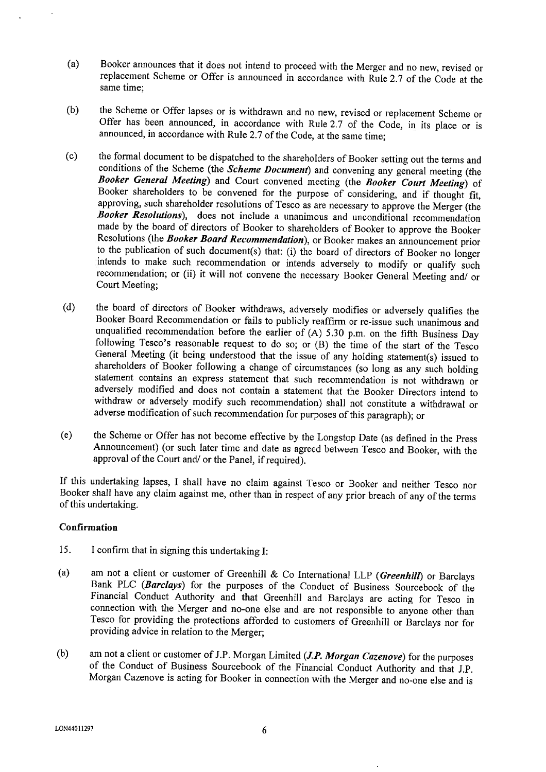- Booker announces that it does not intend to proceed with the Merger and no new, revised or  $(a)$ replacement Scheme or Offer is announced in accordance with Rule 2.7 of the Code at the same time:
- the Scheme or Offer lapses or is withdrawn and no new, revised or replacement Scheme or  $(b)$ Offer has been announced, in accordance with Rule 2.7 of the Code, in its place or is announced, in accordance with Rule 2.7 of the Code, at the same time;
- $(c)$ the formal document to be dispatched to the shareholders of Booker setting out the terms and conditions of the Scheme (the Scheme Document) and convening any general meeting (the Booker General Meeting) and Court convened meeting (the Booker Court Meeting) of Booker shareholders to be convened for the purpose of considering, and if thought fit, approving, such shareholder resolutions of Tesco as are necessary to approve the Merger (the Booker Resolutions), does not include a unanimous and unconditional recommendation made by the board of directors of Booker to shareholders of Booker to approve the Booker Resolutions (the Booker Board Recommendation), or Booker makes an announcement prior to the publication of such document(s) that: (i) the board of directors of Booker no longer intends to make such recommendation or intends adversely to modify or qualify such recommendation; or (ii) it will not convene the necessary Booker General Meeting and/ or Court Meeting;
- the board of directors of Booker withdraws, adversely modifies or adversely qualifies the  $(d)$ Booker Board Recommendation or fails to publicly reaffirm or re-issue such unanimous and unqualified recommendation before the earlier of  $(A)$  5.30 p.m. on the fifth Business Day following Tesco's reasonable request to do so; or (B) the time of the start of the Tesco General Meeting (it being understood that the issue of any holding statement(s) issued to shareholders of Booker following a change of circumstances (so long as any such holding statement contains an express statement that such recommendation is not withdrawn or adversely modified and does not contain a statement that the Booker Directors intend to withdraw or adversely modify such recommendation) shall not constitute a withdrawal or adverse modification of such recommendation for purposes of this paragraph); or
- the Scheme or Offer has not become effective by the Longstop Date (as defined in the Press  $(e)$ Announcement) (or such later time and date as agreed between Tesco and Booker, with the approval of the Court and/ or the Panel, if required).

If this undertaking lapses, I shall have no claim against Tesco or Booker and neither Tesco nor Booker shall have any claim against me, other than in respect of any prior breach of any of the terms of this undertaking.

### Confirmation

- $15.$ I confirm that in signing this undertaking I:
- am not a client or customer of Greenhill & Co International LLP (Greenhill) or Barclays  $(a)$ Bank PLC (Barclays) for the purposes of the Conduct of Business Sourcebook of the Financial Conduct Authority and that Greenhill and Barclays are acting for Tesco in connection with the Merger and no-one else and are not responsible to anyone other than Tesco for providing the protections afforded to customers of Greenhill or Barclays nor for providing advice in relation to the Merger;
- am not a client or customer of J.P. Morgan Limited (J.P. Morgan Cazenove) for the purposes  $(b)$ of the Conduct of Business Sourcebook of the Financial Conduct Authority and that J.P. Morgan Cazenove is acting for Booker in connection with the Merger and no-one else and is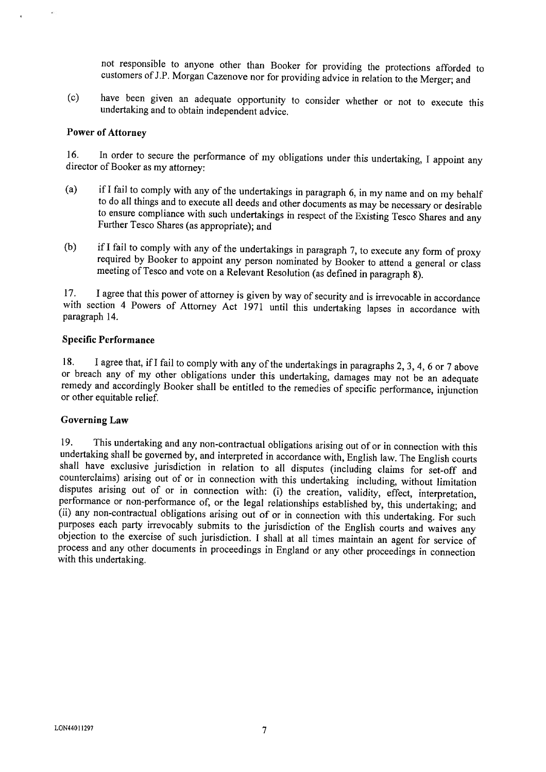not responsible to anyone other than Booker for providing the protections afforded to customers of J.P. Morgan Cazenove nor for providing advice in relation to the Merger; and

have been given an adequate opportunity to consider whether or not to execute this  $(c)$ undertaking and to obtain independent advice.

#### **Power of Attorney**

In order to secure the performance of my obligations under this undertaking, I appoint any  $16.$ director of Booker as my attorney:

- if I fail to comply with any of the undertakings in paragraph 6, in my name and on my behalf  $(a)$ to do all things and to execute all deeds and other documents as may be necessary or desirable to ensure compliance with such undertakings in respect of the Existing Tesco Shares and any Further Tesco Shares (as appropriate); and
- if I fail to comply with any of the undertakings in paragraph 7, to execute any form of proxy  $(b)$ required by Booker to appoint any person nominated by Booker to attend a general or class meeting of Tesco and vote on a Relevant Resolution (as defined in paragraph  $\tilde{g}$ ).

I agree that this power of attorney is given by way of security and is irrevocable in accordance 17. with section 4 Powers of Attorney Act 1971 until this undertaking lapses in accordance with paragraph 14.

#### **Specific Performance**

I agree that, if I fail to comply with any of the undertakings in paragraphs 2, 3, 4, 6 or 7 above 18. or breach any of my other obligations under this undertaking, damages may not be an adequate remedy and accordingly Booker shall be entitled to the remedies of specific performance, injunction or other equitable relief.

#### **Governing Law**

This undertaking and any non-contractual obligations arising out of or in connection with this 19. undertaking shall be governed by, and interpreted in accordance with, English law. The English courts shall have exclusive jurisdiction in relation to all disputes (including claims for set-off and counterclaims) arising out of or in connection with this undertaking including, without limitation disputes arising out of or in connection with: (i) the creation, validity, effect, interpretation, performance or non-performance of, or the legal relationships established by, this undertaking; and (ii) any non-contractual obligations arising out of or in connection with this undertaking. For such purposes each party irrevocably submits to the jurisdiction of the English courts and waives any objection to the exercise of such jurisdiction. I shall at all times maintain an agent for service of process and any other documents in proceedings in England or any other proceedings in connection with this undertaking.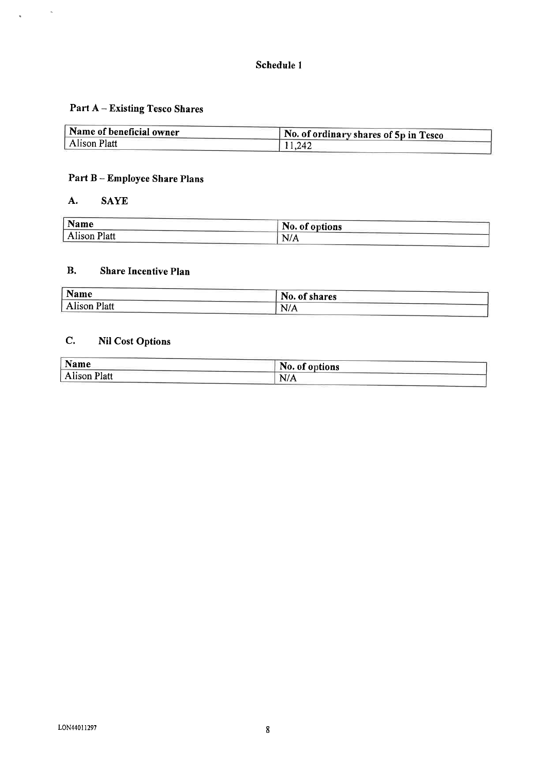# Schedule 1

# **Part A - Existing Tesco Shares**

| Name of beneficial owner | No. of ordinary shares of 5p in Tesco |  |  |
|--------------------------|---------------------------------------|--|--|
| Alison Platt             | 11,242                                |  |  |

# Part B - Employee Share Plans

#### A. **SAYE**

 $\hat{\mathbf{a}}$ 

 $\ddot{\phantom{0}}$ 

| <b>Name</b>         | No. of options |
|---------------------|----------------|
| <b>Alison Platt</b> | . T /<br>13/7  |

#### $\mathbf{B}$ . **Share Incentive Plan**

| Name                | No. of shares |  |
|---------------------|---------------|--|
| <b>Alison Platt</b> | N/A           |  |
|                     |               |  |

#### $\mathbf{C}$ . **Nil Cost Options**

| Name                | No. of options |  |
|---------------------|----------------|--|
| <b>Alison Platt</b> | N/A            |  |